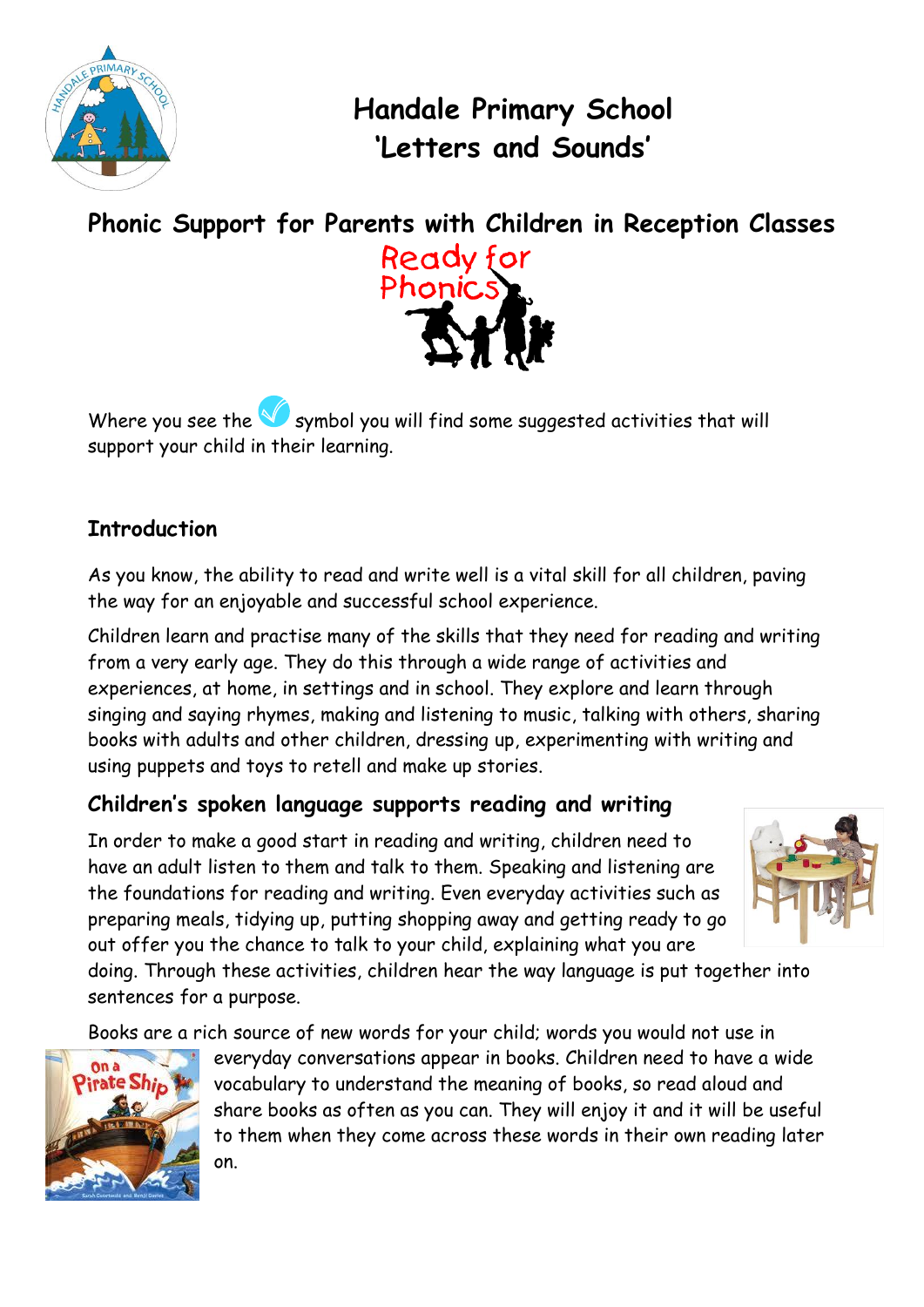

**Handale Primary School 'Letters and Sounds'** 





Where you see the  $\mathbb{S}$  symbol you will find some suggested activities that will support your child in their learning.

#### **Introduction**

As you know, the ability to read and write well is a vital skill for all children, paving the way for an enjoyable and successful school experience.

Children learn and practise many of the skills that they need for reading and writing from a very early age. They do this through a wide range of activities and experiences, at home, in settings and in school. They explore and learn through singing and saying rhymes, making and listening to music, talking with others, sharing books with adults and other children, dressing up, experimenting with writing and using puppets and toys to retell and make up stories.

## **Children's spoken language supports reading and writing**

In order to make a good start in reading and writing, children need to have an adult listen to them and talk to them. Speaking and listening are the foundations for reading and writing. Even everyday activities such as preparing meals, tidying up, putting shopping away and getting ready to go out offer you the chance to talk to your child, explaining what you are



doing. Through these activities, children hear the way language is put together into sentences for a purpose.

Books are a rich source of new words for your child; words you would not use in



everyday conversations appear in books. Children need to have a wide vocabulary to understand the meaning of books, so read aloud and share books as often as you can. They will enjoy it and it will be useful to them when they come across these words in their own reading later on.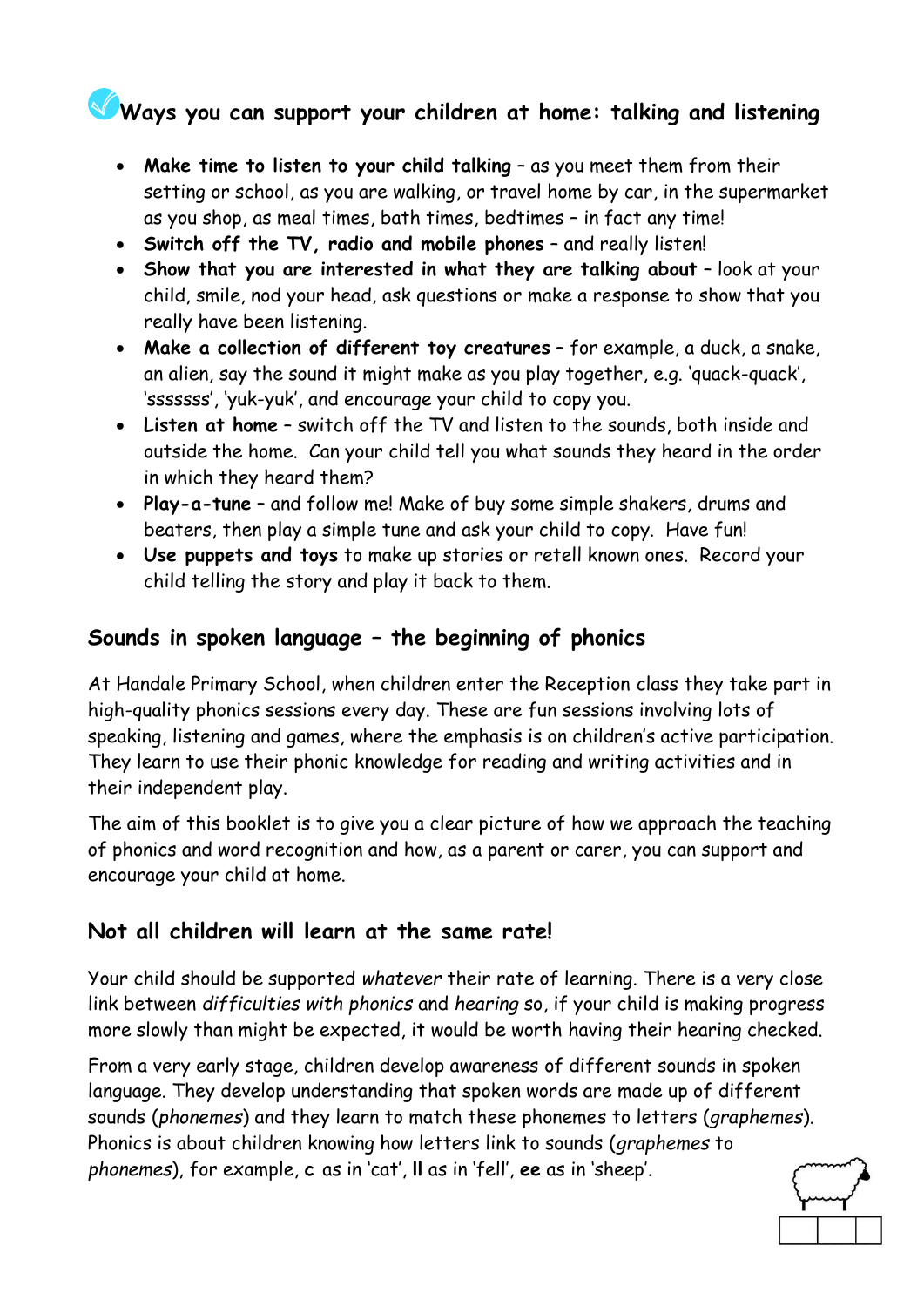# **Ways you can support your children at home: talking and listening**

- **Make time to listen to your child talking** as you meet them from their setting or school, as you are walking, or travel home by car, in the supermarket as you shop, as meal times, bath times, bedtimes – in fact any time!
- **Switch off the TV, radio and mobile phones** and really listen!
- **Show that you are interested in what they are talking about** look at your child, smile, nod your head, ask questions or make a response to show that you really have been listening.
- **Make a collection of different toy creatures** for example, a duck, a snake, an alien, say the sound it might make as you play together, e.g. 'quack-quack', 'sssssss', 'yuk-yuk', and encourage your child to copy you.
- **Listen at home** switch off the TV and listen to the sounds, both inside and outside the home. Can your child tell you what sounds they heard in the order in which they heard them?
- **Play-a-tune** and follow me! Make of buy some simple shakers, drums and beaters, then play a simple tune and ask your child to copy. Have fun!
- **Use puppets and toys** to make up stories or retell known ones. Record your child telling the story and play it back to them.

#### **Sounds in spoken language – the beginning of phonics**

At Handale Primary School, when children enter the Reception class they take part in high-quality phonics sessions every day. These are fun sessions involving lots of speaking, listening and games, where the emphasis is on children's active participation. They learn to use their phonic knowledge for reading and writing activities and in their independent play.

The aim of this booklet is to give you a clear picture of how we approach the teaching of phonics and word recognition and how, as a parent or carer, you can support and encourage your child at home.

#### **Not all children will learn at the same rate!**

Your child should be supported *whatever* their rate of learning. There is a very close link between *difficulties with phonics* and *hearing* so, if your child is making progress more slowly than might be expected, it would be worth having their hearing checked.

From a very early stage, children develop awareness of different sounds in spoken language. They develop understanding that spoken words are made up of different sounds (*phonemes*) and they learn to match these phonemes to letters (*graphemes*). Phonics is about children knowing how letters link to sounds (*graphemes* to *phonemes*), for example, **c** as in 'cat', **ll** as in 'fell', **ee** as in 'sheep'.

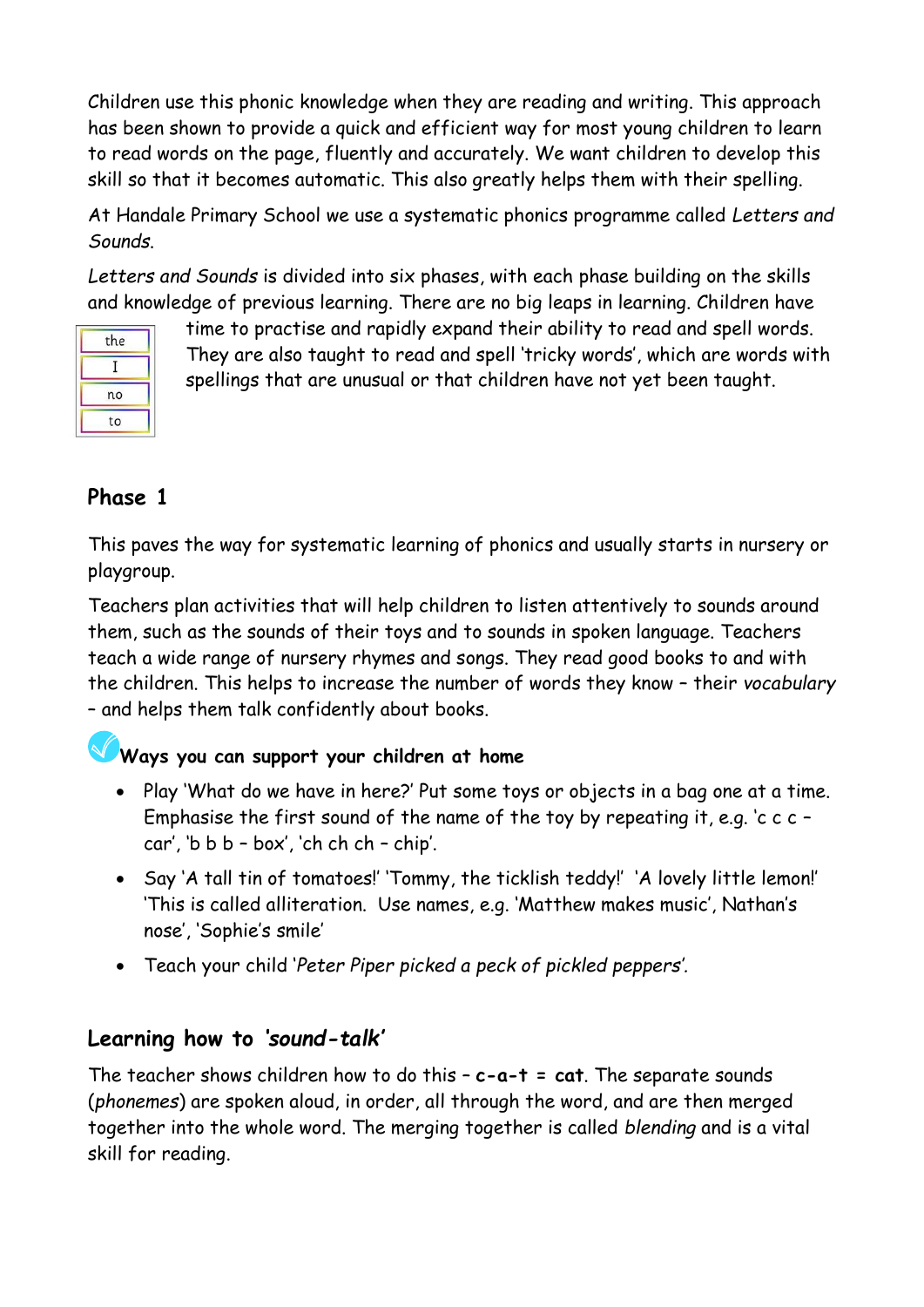Children use this phonic knowledge when they are reading and writing. This approach has been shown to provide a quick and efficient way for most young children to learn to read words on the page, fluently and accurately. We want children to develop this skill so that it becomes automatic. This also greatly helps them with their spelling.

At Handale Primary School we use a systematic phonics programme called *Letters and Sounds*.

*Letters and Sounds* is divided into six phases, with each phase building on the skills and knowledge of previous learning. There are no big leaps in learning. Children have

| the |  |
|-----|--|
|     |  |
| no  |  |
| to  |  |

time to practise and rapidly expand their ability to read and spell words. They are also taught to read and spell 'tricky words', which are words with spellings that are unusual or that children have not yet been taught.

#### **Phase 1**

This paves the way for systematic learning of phonics and usually starts in nursery or playgroup.

Teachers plan activities that will help children to listen attentively to sounds around them, such as the sounds of their toys and to sounds in spoken language. Teachers teach a wide range of nursery rhymes and songs. They read good books to and with the children. This helps to increase the number of words they know – their *vocabulary* – and helps them talk confidently about books.

# **Ways you can support your children at home**

- Play 'What do we have in here?' Put some toys or objects in a bag one at a time. Emphasise the first sound of the name of the toy by repeating it, e.g. 'c c c – car', 'b  $b$   $b - box'$ , 'ch ch  $ch - chip'$ .
- Say 'A tall tin of tomatoes!' 'Tommy, the ticklish teddy!' 'A lovely little lemon!' 'This is called alliteration. Use names, e.g. 'Matthew makes music', Nathan's nose', 'Sophie's smile'
- Teach your child '*Peter Piper picked a peck of pickled peppers'.*

## **Learning how to** *'sound-talk'*

The teacher shows children how to do this – **c-a-t = cat**. The separate sounds (*phonemes*) are spoken aloud, in order, all through the word, and are then merged together into the whole word. The merging together is called *blending* and is a vital skill for reading.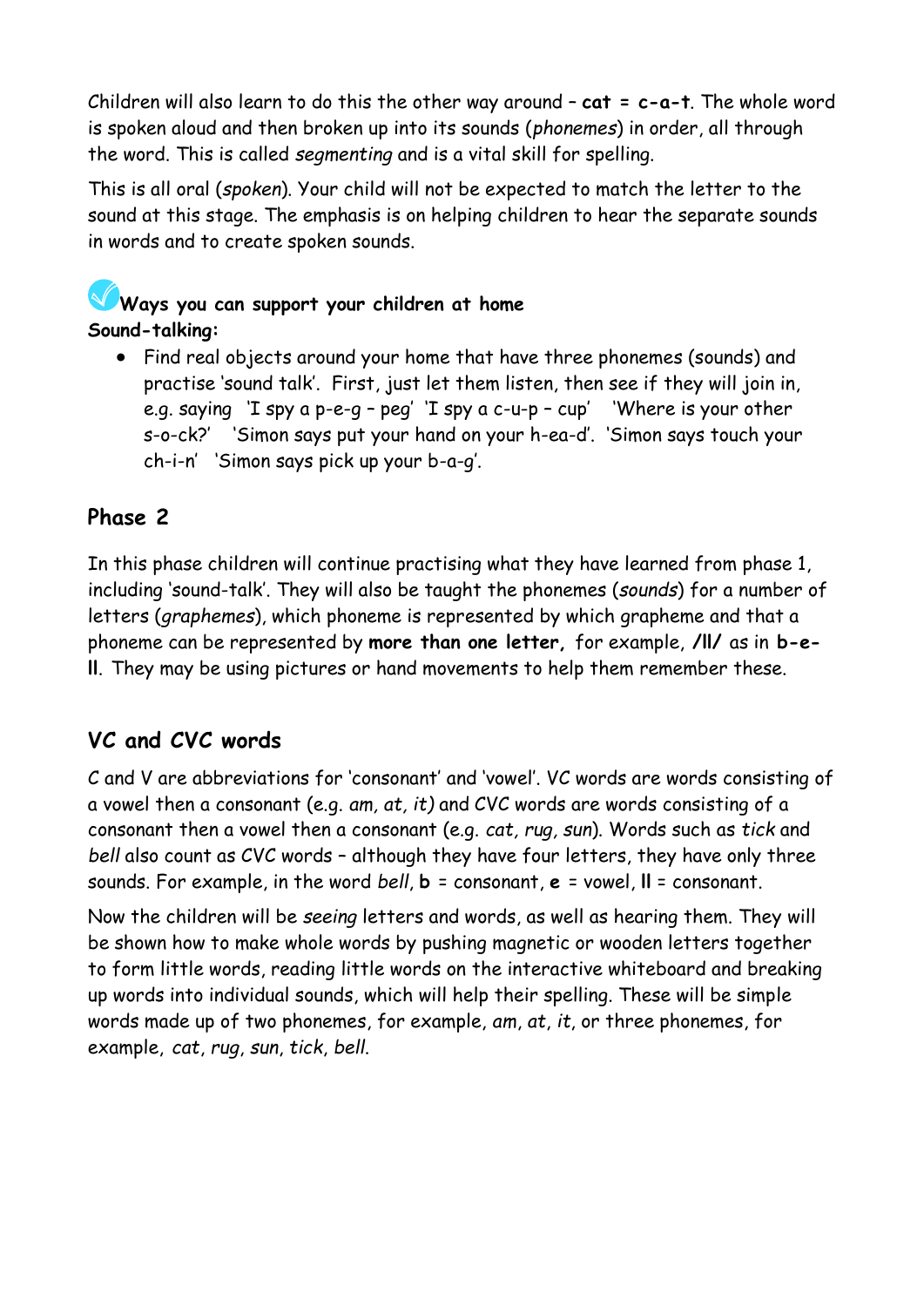Children will also learn to do this the other way around – **cat = c-a-t**. The whole word is spoken aloud and then broken up into its sounds (*phonemes*) in order, all through the word. This is called *segmenting* and is a vital skill for spelling.

This is all oral (*spoken*). Your child will not be expected to match the letter to the sound at this stage. The emphasis is on helping children to hear the separate sounds in words and to create spoken sounds.

# **Ways you can support your children at home Sound-talking:**

• Find real objects around your home that have three phonemes (sounds) and practise 'sound talk'. First, just let them listen, then see if they will join in, e.g. saying 'I spy a p-e-g – peg' 'I spy a c-u-p – cup' 'Where is your other s-o-ck?' 'Simon says put your hand on your h-ea-d'. 'Simon says touch your ch-i-n' 'Simon says pick up your b-a-g'.

# **Phase 2**

In this phase children will continue practising what they have learned from phase 1, including 'sound-talk'. They will also be taught the phonemes (*sounds*) for a number of letters (*graphemes*), which phoneme is represented by which grapheme and that a phoneme can be represented by **more than one letter,** for example, **/ll/** as in **b-ell**. They may be using pictures or hand movements to help them remember these.

# **VC and CVC words**

C and V are abbreviations for 'consonant' and 'vowel'. VC words are words consisting of a vowel then a consonant (e.g. *am, at, it)* and CVC words are words consisting of a consonant then a vowel then a consonant (e.g. *cat, rug, sun*). Words such as *tick* and *bell* also count as CVC words – although they have four letters, they have only three sounds. For example, in the word *bell*, **b** = consonant, **e** = vowel, **ll** = consonant.

Now the children will be *seeing* letters and words, as well as hearing them. They will be shown how to make whole words by pushing magnetic or wooden letters together to form little words, reading little words on the interactive whiteboard and breaking up words into individual sounds, which will help their spelling. These will be simple words made up of two phonemes, for example, *am*, *at*, *it*, or three phonemes, for example, *cat*, *rug*, *sun*, *tick*, *bell*.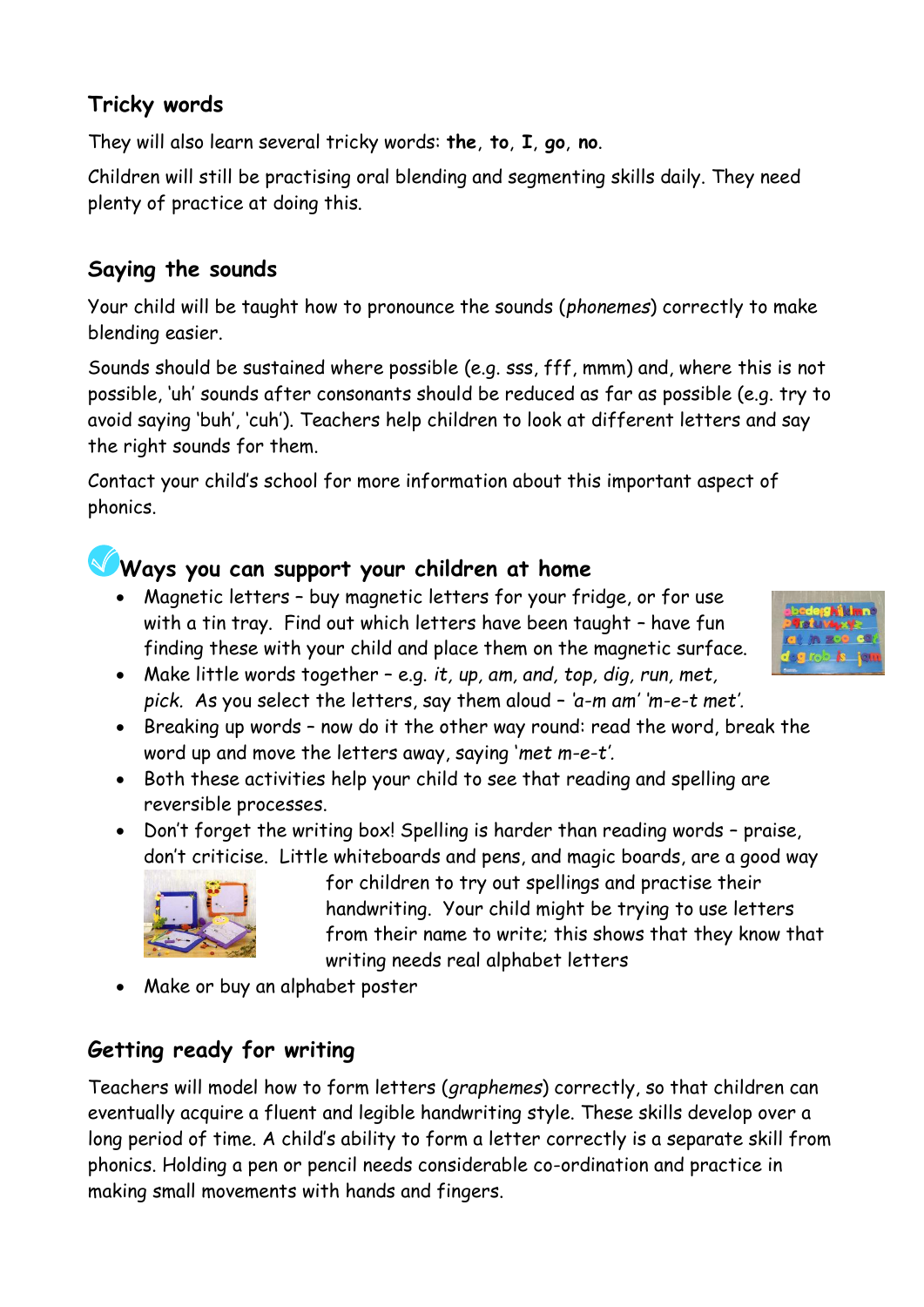## **Tricky words**

They will also learn several tricky words: **the**, **to**, **I**, **go**, **no**.

Children will still be practising oral blending and segmenting skills daily. They need plenty of practice at doing this.

## **Saying the sounds**

Your child will be taught how to pronounce the sounds (*phonemes*) correctly to make blending easier.

Sounds should be sustained where possible (e.g. sss, fff, mmm) and, where this is not possible, 'uh' sounds after consonants should be reduced as far as possible (e.g. try to avoid saying 'buh', 'cuh'). Teachers help children to look at different letters and say the right sounds for them.

Contact your child's school for more information about this important aspect of phonics.

# **Ways you can support your children at home**

- Magnetic letters buy magnetic letters for your fridge, or for use with a tin tray. Find out which letters have been taught – have fun finding these with your child and place them on the magnetic surface.
- Make little words together e.g. *it, up, am, and, top, dig, run, met, pick.* As you select the letters, say them aloud – *'a-m am' 'm-e-t met'.*
- Breaking up words now do it the other way round: read the word, break the word up and move the letters away, saying '*met m-e-t'.*
- Both these activities help your child to see that reading and spelling are reversible processes.
- Don't forget the writing box! Spelling is harder than reading words praise, don't criticise. Little whiteboards and pens, and magic boards, are a good way



for children to try out spellings and practise their handwriting. Your child might be trying to use letters from their name to write; this shows that they know that writing needs real alphabet letters

• Make or buy an alphabet poster

## **Getting ready for writing**

Teachers will model how to form letters (*graphemes*) correctly, so that children can eventually acquire a fluent and legible handwriting style. These skills develop over a long period of time. A child's ability to form a letter correctly is a separate skill from phonics. Holding a pen or pencil needs considerable co-ordination and practice in making small movements with hands and fingers.

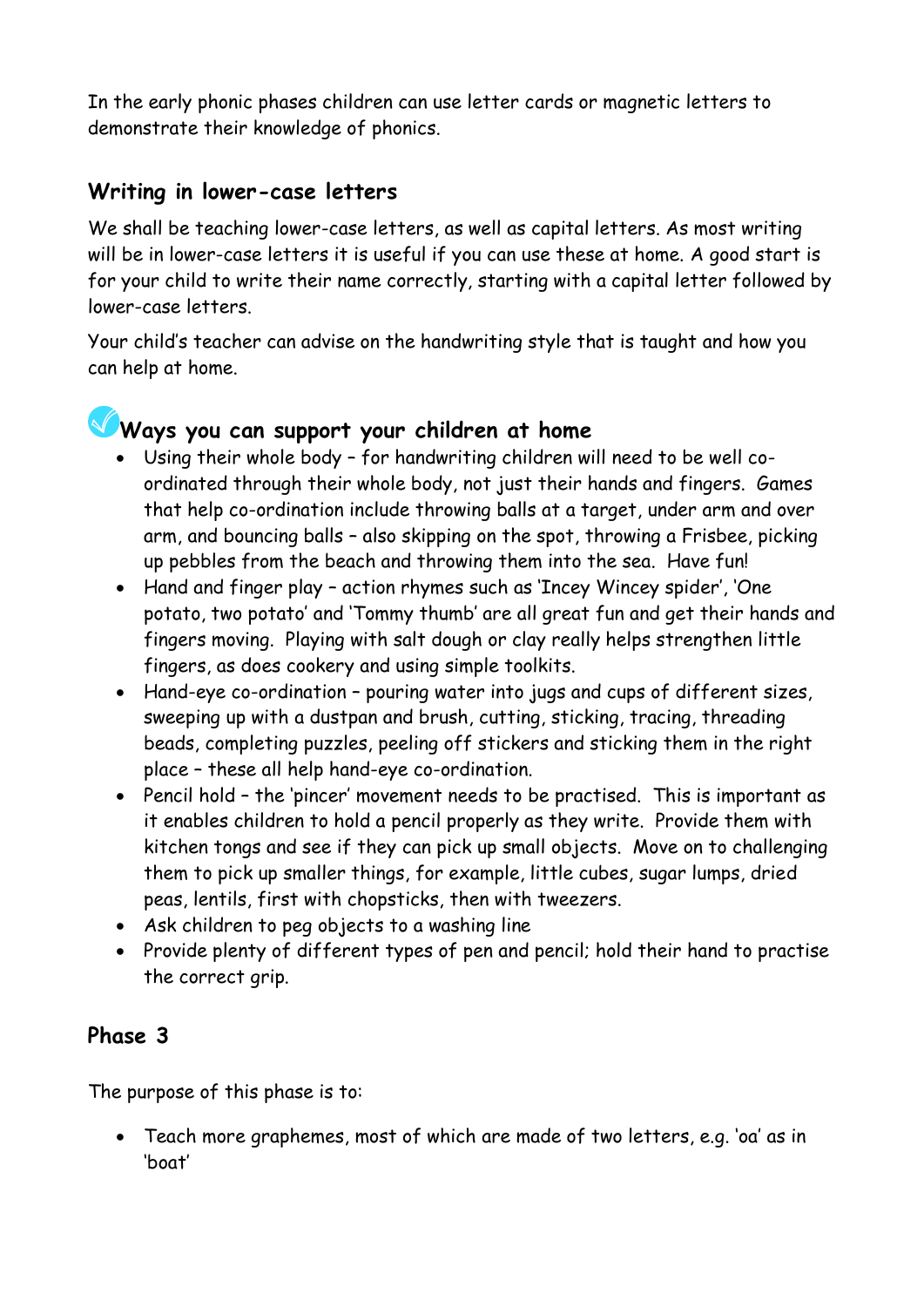In the early phonic phases children can use letter cards or magnetic letters to demonstrate their knowledge of phonics.

#### **Writing in lower-case letters**

We shall be teaching lower-case letters, as well as capital letters. As most writing will be in lower-case letters it is useful if you can use these at home. A good start is for your child to write their name correctly, starting with a capital letter followed by lower-case letters.

Your child's teacher can advise on the handwriting style that is taught and how you can help at home.



# **Ways you can support your children at home**

- Using their whole body for handwriting children will need to be well coordinated through their whole body, not just their hands and fingers. Games that help co-ordination include throwing balls at a target, under arm and over arm, and bouncing balls – also skipping on the spot, throwing a Frisbee, picking up pebbles from the beach and throwing them into the sea. Have fun!
- Hand and finger play action rhymes such as 'Incey Wincey spider', 'One potato, two potato' and 'Tommy thumb' are all great fun and get their hands and fingers moving. Playing with salt dough or clay really helps strengthen little fingers, as does cookery and using simple toolkits.
- Hand-eye co-ordination pouring water into jugs and cups of different sizes, sweeping up with a dustpan and brush, cutting, sticking, tracing, threading beads, completing puzzles, peeling off stickers and sticking them in the right place – these all help hand-eye co-ordination.
- Pencil hold the 'pincer' movement needs to be practised. This is important as it enables children to hold a pencil properly as they write. Provide them with kitchen tongs and see if they can pick up small objects. Move on to challenging them to pick up smaller things, for example, little cubes, sugar lumps, dried peas, lentils, first with chopsticks, then with tweezers.
- Ask children to peg objects to a washing line
- Provide plenty of different types of pen and pencil; hold their hand to practise the correct grip.

#### **Phase 3**

The purpose of this phase is to:

• Teach more graphemes, most of which are made of two letters, e.g. 'oa' as in 'boat'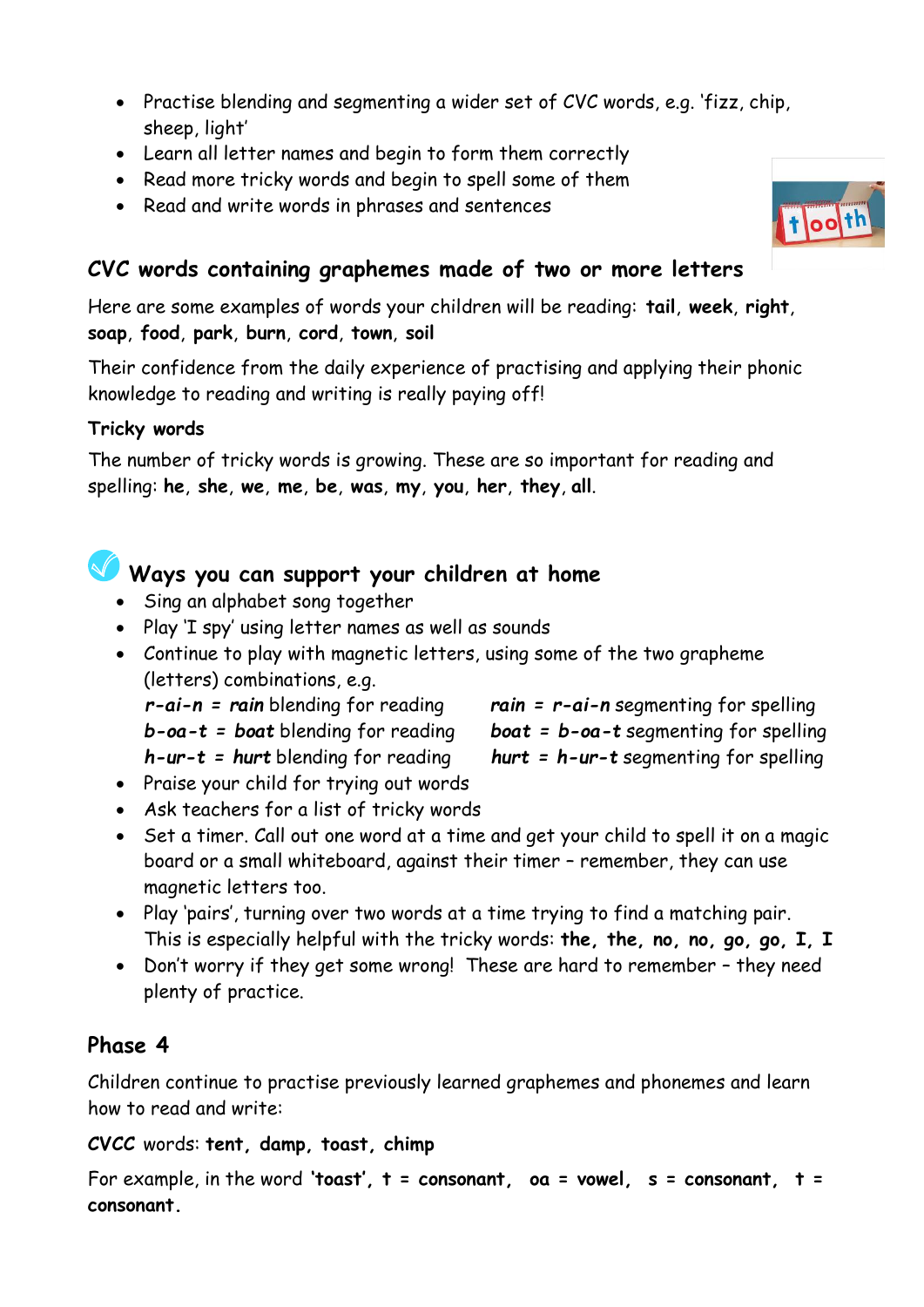- Practise blending and segmenting a wider set of CVC words, e.g. 'fizz, chip, sheep, light'
- Learn all letter names and begin to form them correctly
- Read more tricky words and begin to spell some of them
- Read and write words in phrases and sentences

# **CVC words containing graphemes made of two or more letters**

Here are some examples of words your children will be reading: **tail**, **week**, **right**, **soap**, **food**, **park**, **burn**, **cord**, **town**, **soil**

Their confidence from the daily experience of practising and applying their phonic knowledge to reading and writing is really paying off!

#### **Tricky words**

The number of tricky words is growing. These are so important for reading and spelling: **he**, **she**, **we**, **me**, **be**, **was**, **my**, **you**, **her**, **they**, **all**.

# **Ways you can support your children at home**

- Sing an alphabet song together
- Play 'I spy' using letter names as well as sounds
- Continue to play with magnetic letters, using some of the two grapheme (letters) combinations, e.g.
	-
	- *b-oa-t = boat* blending for reading *boat = b-oa-t* segmenting for spelling
	- *h-ur-t = hurt* blending for reading *hurt = h-ur-t* segmenting for spelling
- *r-ai-n = rain* blending for reading *rain = r-ai-n* segmenting for spelling
	-
	-
- Praise your child for trying out words
- Ask teachers for a list of tricky words
- Set a timer. Call out one word at a time and get your child to spell it on a magic board or a small whiteboard, against their timer – remember, they can use magnetic letters too.
- Play 'pairs', turning over two words at a time trying to find a matching pair. This is especially helpful with the tricky words: **the, the, no, no, go, go, I, I**
- Don't worry if they get some wrong! These are hard to remember they need plenty of practice.

## **Phase 4**

Children continue to practise previously learned graphemes and phonemes and learn how to read and write:

#### **CVCC** words: **tent, damp, toast, chimp**

```
For example, in the word 'toast', t = consonant, oa = vowel, s = consonant, t = 
consonant.
```
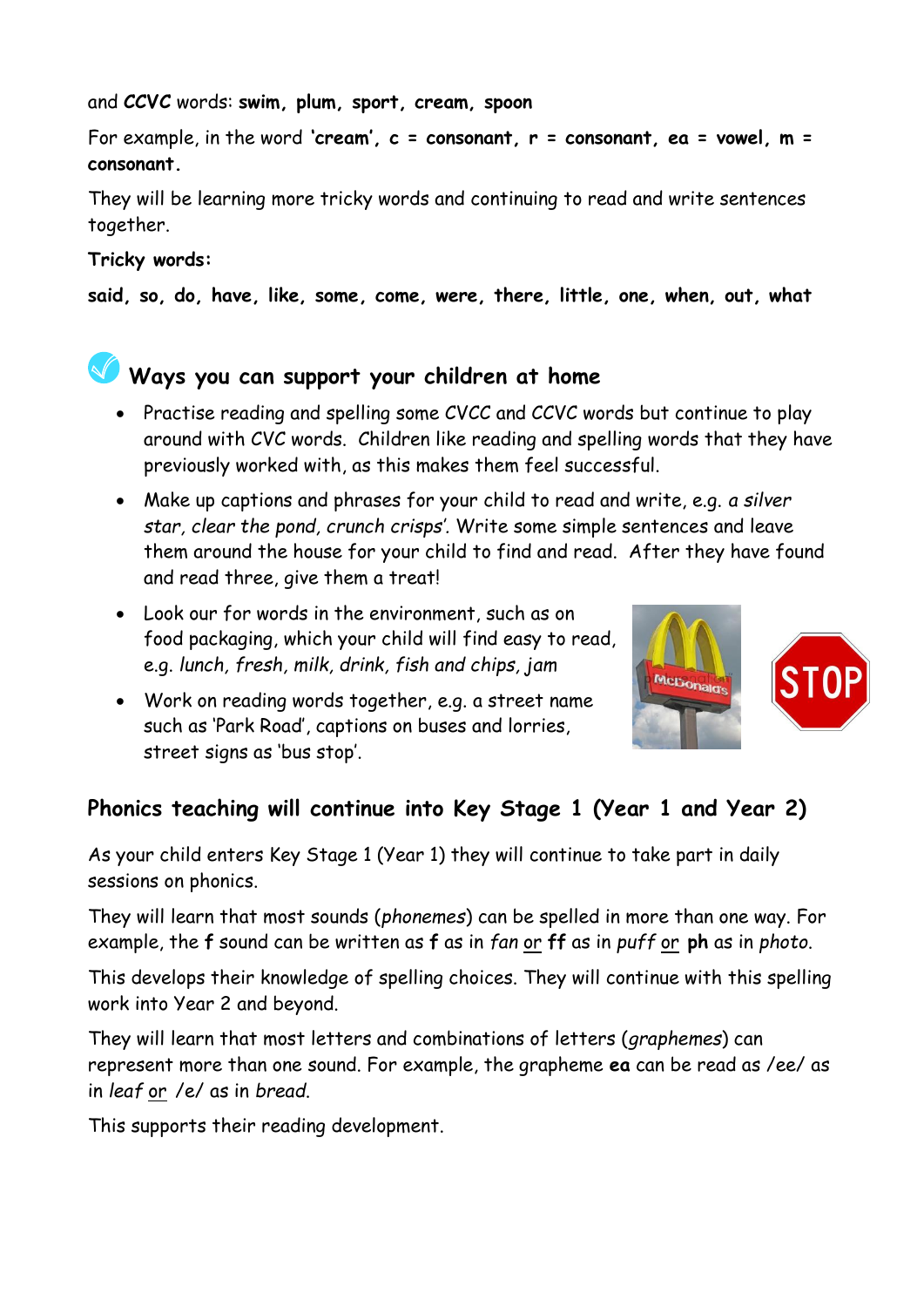and **CCVC** words: **swim, plum, sport, cream, spoon**

For example, in the word **'cream', c** = consonant, r = consonant, ea = vowel, m = **consonant.**

They will be learning more tricky words and continuing to read and write sentences together.

#### **Tricky words:**

**said, so, do, have, like, some, come, were, there, little, one, when, out, what**

# **Ways you can support your children at home**

- Practise reading and spelling some CVCC and CCVC words but continue to play around with CVC words. Children like reading and spelling words that they have previously worked with, as this makes them feel successful.
- Make up captions and phrases for your child to read and write, e.g. *a silver star, clear the pond, crunch crisps'.* Write some simple sentences and leave them around the house for your child to find and read. After they have found and read three, give them a treat!
- Look our for words in the environment, such as on food packaging, which your child will find easy to read, e.g. *lunch, fresh, milk, drink, fish and chips, jam*
- Work on reading words together, e.g. a street name such as 'Park Road', captions on buses and lorries, street signs as 'bus stop'.



# **Phonics teaching will continue into Key Stage 1 (Year 1 and Year 2)**

As your child enters Key Stage 1 (Year 1) they will continue to take part in daily sessions on phonics.

They will learn that most sounds (*phonemes*) can be spelled in more than one way. For example, the **f** sound can be written as **f** as in *fan* or **ff** as in *puff* or **ph** as in *photo*.

This develops their knowledge of spelling choices. They will continue with this spelling work into Year 2 and beyond.

They will learn that most letters and combinations of letters (*graphemes*) can represent more than one sound. For example, the grapheme **ea** can be read as /ee/ as in *leaf* or /e/ as in *bread*.

This supports their reading development.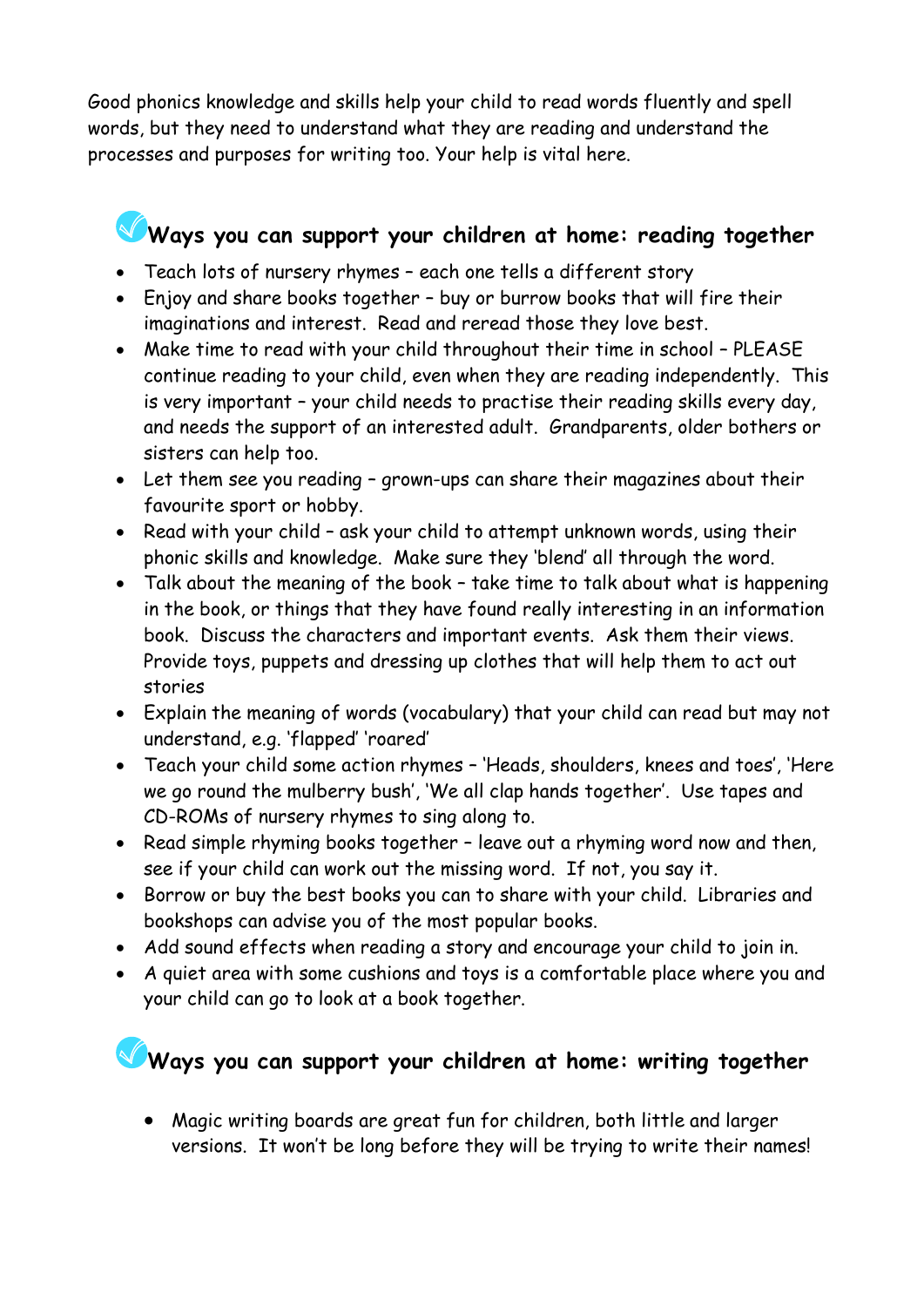Good phonics knowledge and skills help your child to read words fluently and spell words, but they need to understand what they are reading and understand the processes and purposes for writing too. Your help is vital here.

# **Ways you can support your children at home: reading together**

- Teach lots of nursery rhymes each one tells a different story
- Enjoy and share books together buy or burrow books that will fire their imaginations and interest. Read and reread those they love best.
- Make time to read with your child throughout their time in school PLEASE continue reading to your child, even when they are reading independently. This is very important – your child needs to practise their reading skills every day, and needs the support of an interested adult. Grandparents, older bothers or sisters can help too.
- Let them see you reading grown-ups can share their magazines about their favourite sport or hobby.
- Read with your child ask your child to attempt unknown words, using their phonic skills and knowledge. Make sure they 'blend' all through the word.
- Talk about the meaning of the book take time to talk about what is happening in the book, or things that they have found really interesting in an information book. Discuss the characters and important events. Ask them their views. Provide toys, puppets and dressing up clothes that will help them to act out stories
- Explain the meaning of words (vocabulary) that your child can read but may not understand, e.g. 'flapped' 'roared'
- Teach your child some action rhymes 'Heads, shoulders, knees and toes', 'Here we go round the mulberry bush', 'We all clap hands together'. Use tapes and CD-ROMs of nursery rhymes to sing along to.
- Read simple rhyming books together leave out a rhyming word now and then, see if your child can work out the missing word. If not, you say it.
- Borrow or buy the best books you can to share with your child. Libraries and bookshops can advise you of the most popular books.
- Add sound effects when reading a story and encourage your child to join in.
- A quiet area with some cushions and toys is a comfortable place where you and your child can go to look at a book together.

# **Ways you can support your children at home: writing together**

• Magic writing boards are great fun for children, both little and larger versions. It won't be long before they will be trying to write their names!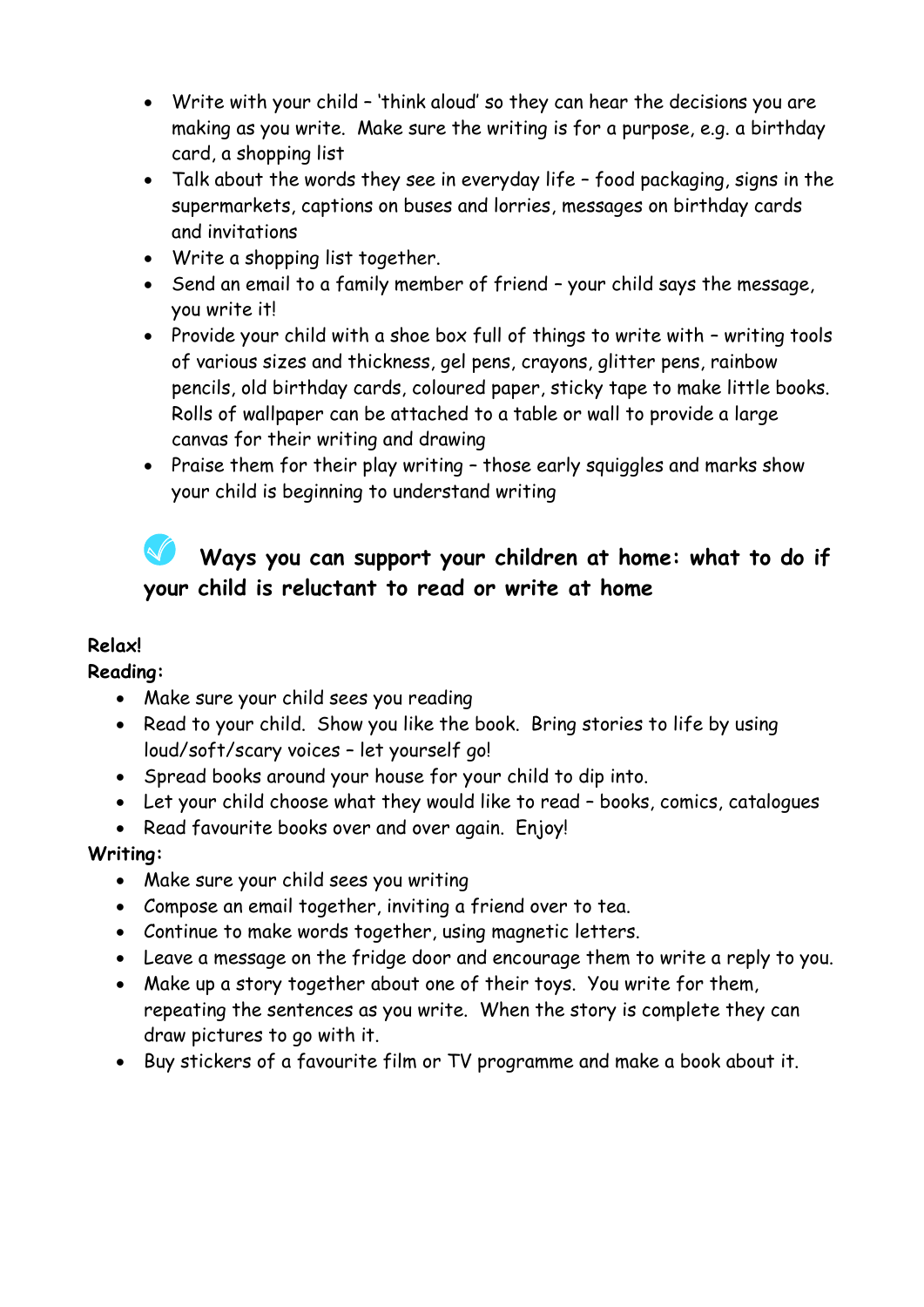- Write with your child 'think aloud' so they can hear the decisions you are making as you write. Make sure the writing is for a purpose, e.g. a birthday card, a shopping list
- Talk about the words they see in everyday life food packaging, signs in the supermarkets, captions on buses and lorries, messages on birthday cards and invitations
- Write a shopping list together.
- Send an email to a family member of friend your child says the message, you write it!
- Provide your child with a shoe box full of things to write with writing tools of various sizes and thickness, gel pens, crayons, glitter pens, rainbow pencils, old birthday cards, coloured paper, sticky tape to make little books. Rolls of wallpaper can be attached to a table or wall to provide a large canvas for their writing and drawing
- Praise them for their play writing those early squiggles and marks show your child is beginning to understand writing

# **Ways you can support your children at home: what to do if your child is reluctant to read or write at home**

#### **Relax!**

#### **Reading:**

- Make sure your child sees you reading
- Read to your child. Show you like the book. Bring stories to life by using loud/soft/scary voices – let yourself go!
- Spread books around your house for your child to dip into.
- Let your child choose what they would like to read books, comics, catalogues
- Read favourite books over and over again. Enjoy!

#### **Writing:**

- Make sure your child sees you writing
- Compose an email together, inviting a friend over to tea.
- Continue to make words together, using magnetic letters.
- Leave a message on the fridge door and encourage them to write a reply to you.
- Make up a story together about one of their toys. You write for them, repeating the sentences as you write. When the story is complete they can draw pictures to go with it.
- Buy stickers of a favourite film or TV programme and make a book about it.